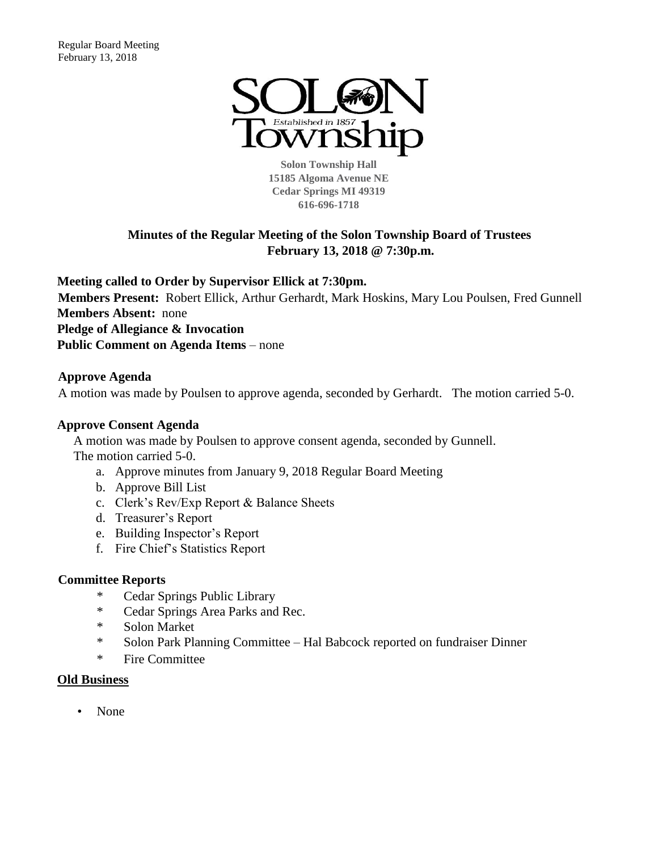

**Solon Township Hall 15185 Algoma Avenue NE Cedar Springs MI 49319 616-696-1718** 

# **Minutes of the Regular Meeting of the Solon Township Board of Trustees February 13, 2018 @ 7:30p.m.**

**Meeting called to Order by Supervisor Ellick at 7:30pm. Members Present:** Robert Ellick, Arthur Gerhardt, Mark Hoskins, Mary Lou Poulsen, Fred Gunnell **Members Absent:** none **Pledge of Allegiance & Invocation**

**Public Comment on Agenda Items** – none

# **Approve Agenda**

A motion was made by Poulsen to approve agenda, seconded by Gerhardt. The motion carried 5-0.

# **Approve Consent Agenda**

A motion was made by Poulsen to approve consent agenda, seconded by Gunnell. The motion carried 5-0.

- a. Approve minutes from January 9, 2018 Regular Board Meeting
- b. Approve Bill List
- c. Clerk's Rev/Exp Report & Balance Sheets
- d. Treasurer's Report
- e. Building Inspector's Report
- f. Fire Chief's Statistics Report

# **Committee Reports**

- \* Cedar Springs Public Library
- \* Cedar Springs Area Parks and Rec.
- \* Solon Market
- \* Solon Park Planning Committee Hal Babcock reported on fundraiser Dinner
- \* Fire Committee

## **Old Business**

• None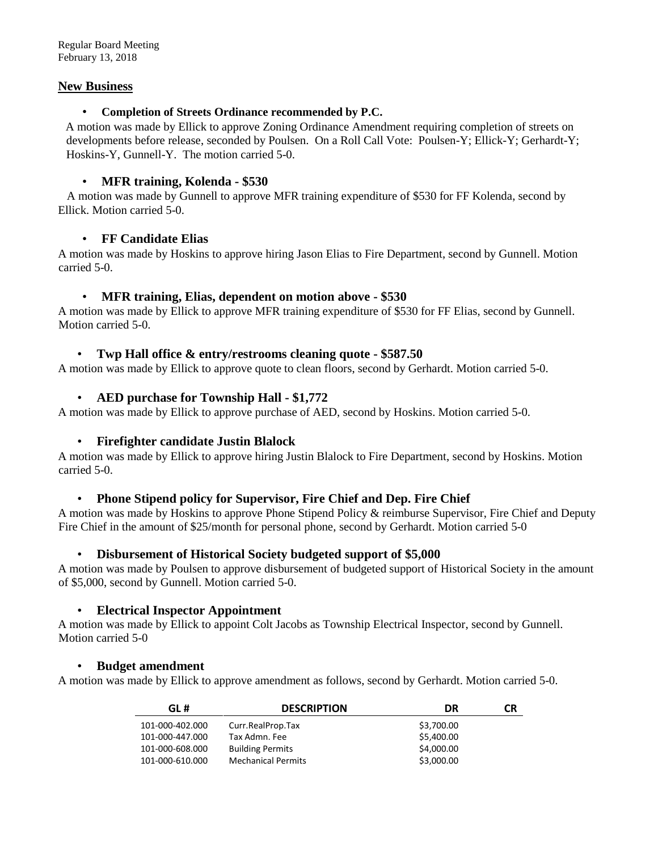### **New Business**

#### • **Completion of Streets Ordinance recommended by P.C.**

A motion was made by Ellick to approve Zoning Ordinance Amendment requiring completion of streets on developments before release, seconded by Poulsen. On a Roll Call Vote: Poulsen-Y; Ellick-Y; Gerhardt-Y; Hoskins-Y, Gunnell-Y. The motion carried 5-0.

## • **MFR training, Kolenda - \$530**

 A motion was made by Gunnell to approve MFR training expenditure of \$530 for FF Kolenda, second by Ellick. Motion carried 5-0.

## • **FF Candidate Elias**

A motion was made by Hoskins to approve hiring Jason Elias to Fire Department, second by Gunnell. Motion carried 5-0.

## • **MFR training, Elias, dependent on motion above - \$530**

A motion was made by Ellick to approve MFR training expenditure of \$530 for FF Elias, second by Gunnell. Motion carried 5-0.

## • **Twp Hall office & entry/restrooms cleaning quote - \$587.50**

A motion was made by Ellick to approve quote to clean floors, second by Gerhardt. Motion carried 5-0.

# • **AED purchase for Township Hall - \$1,772**

A motion was made by Ellick to approve purchase of AED, second by Hoskins. Motion carried 5-0.

## • **Firefighter candidate Justin Blalock**

A motion was made by Ellick to approve hiring Justin Blalock to Fire Department, second by Hoskins. Motion carried 5-0.

## • **Phone Stipend policy for Supervisor, Fire Chief and Dep. Fire Chief**

A motion was made by Hoskins to approve Phone Stipend Policy & reimburse Supervisor, Fire Chief and Deputy Fire Chief in the amount of \$25/month for personal phone, second by Gerhardt. Motion carried 5-0

## • **Disbursement of Historical Society budgeted support of \$5,000**

A motion was made by Poulsen to approve disbursement of budgeted support of Historical Society in the amount of \$5,000, second by Gunnell. Motion carried 5-0.

## • **Electrical Inspector Appointment**

A motion was made by Ellick to appoint Colt Jacobs as Township Electrical Inspector, second by Gunnell. Motion carried 5-0

## • **Budget amendment**

A motion was made by Ellick to approve amendment as follows, second by Gerhardt. Motion carried 5-0.

| GL#             | <b>DESCRIPTION</b>        | DR         | CR |
|-----------------|---------------------------|------------|----|
| 101-000-402.000 | Curr.RealProp.Tax         | \$3,700.00 |    |
| 101-000-447.000 | Tax Admn. Fee             | \$5,400.00 |    |
| 101-000-608.000 | <b>Building Permits</b>   | \$4,000.00 |    |
| 101-000-610.000 | <b>Mechanical Permits</b> | \$3,000.00 |    |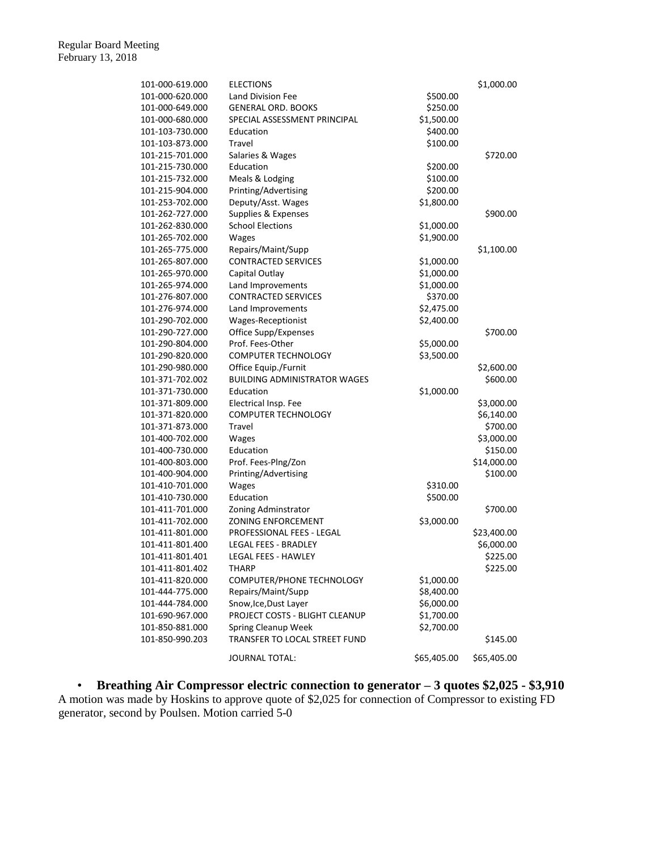| 101-000-619.000 | <b>ELECTIONS</b>                    |             | \$1,000.00  |  |
|-----------------|-------------------------------------|-------------|-------------|--|
| 101-000-620.000 | <b>Land Division Fee</b>            | \$500.00    |             |  |
| 101-000-649.000 | <b>GENERAL ORD. BOOKS</b>           | \$250.00    |             |  |
| 101-000-680.000 | SPECIAL ASSESSMENT PRINCIPAL        | \$1,500.00  |             |  |
| 101-103-730.000 | Education                           | \$400.00    |             |  |
| 101-103-873.000 | Travel                              | \$100.00    |             |  |
| 101-215-701.000 | Salaries & Wages                    |             | \$720.00    |  |
| 101-215-730.000 | Education                           | \$200.00    |             |  |
| 101-215-732.000 | Meals & Lodging                     | \$100.00    |             |  |
| 101-215-904.000 | Printing/Advertising                | \$200.00    |             |  |
| 101-253-702.000 | Deputy/Asst. Wages                  | \$1,800.00  |             |  |
| 101-262-727.000 | Supplies & Expenses                 |             | \$900.00    |  |
| 101-262-830.000 | <b>School Elections</b>             | \$1,000.00  |             |  |
| 101-265-702.000 | Wages                               | \$1,900.00  |             |  |
| 101-265-775.000 | Repairs/Maint/Supp                  |             | \$1,100.00  |  |
| 101-265-807.000 | <b>CONTRACTED SERVICES</b>          | \$1,000.00  |             |  |
|                 |                                     |             |             |  |
| 101-265-970.000 | Capital Outlay                      | \$1,000.00  |             |  |
| 101-265-974.000 | Land Improvements                   | \$1,000.00  |             |  |
| 101-276-807.000 | <b>CONTRACTED SERVICES</b>          | \$370.00    |             |  |
| 101-276-974.000 | Land Improvements                   | \$2,475.00  |             |  |
| 101-290-702.000 | Wages-Receptionist                  | \$2,400.00  |             |  |
| 101-290-727.000 | Office Supp/Expenses                |             | \$700.00    |  |
| 101-290-804.000 | Prof. Fees-Other                    | \$5,000.00  |             |  |
| 101-290-820.000 | <b>COMPUTER TECHNOLOGY</b>          | \$3,500.00  |             |  |
| 101-290-980.000 | Office Equip./Furnit                |             | \$2,600.00  |  |
| 101-371-702.002 | <b>BUILDING ADMINISTRATOR WAGES</b> |             | \$600.00    |  |
| 101-371-730.000 | Education                           | \$1,000.00  |             |  |
| 101-371-809.000 | Electrical Insp. Fee                |             | \$3,000.00  |  |
| 101-371-820.000 | <b>COMPUTER TECHNOLOGY</b>          |             | \$6,140.00  |  |
| 101-371-873.000 | Travel                              |             | \$700.00    |  |
| 101-400-702.000 | Wages                               |             | \$3,000.00  |  |
| 101-400-730.000 | Education                           |             | \$150.00    |  |
| 101-400-803.000 | Prof. Fees-Plng/Zon                 |             | \$14,000.00 |  |
| 101-400-904.000 | Printing/Advertising                |             | \$100.00    |  |
| 101-410-701.000 | Wages                               | \$310.00    |             |  |
| 101-410-730.000 | Education                           | \$500.00    |             |  |
| 101-411-701.000 | Zoning Adminstrator                 |             | \$700.00    |  |
| 101-411-702.000 | <b>ZONING ENFORCEMENT</b>           | \$3,000.00  |             |  |
| 101-411-801.000 | PROFESSIONAL FEES - LEGAL           |             | \$23,400.00 |  |
| 101-411-801.400 | LEGAL FEES - BRADLEY                |             | \$6,000.00  |  |
| 101-411-801.401 | LEGAL FEES - HAWLEY                 |             | \$225.00    |  |
| 101-411-801.402 | THARP                               |             | \$225.00    |  |
| 101-411-820.000 | COMPUTER/PHONE TECHNOLOGY           | \$1,000.00  |             |  |
| 101-444-775.000 | Repairs/Maint/Supp                  | \$8,400.00  |             |  |
| 101-444-784.000 | Snow, Ice, Dust Layer               | \$6,000.00  |             |  |
| 101-690-967.000 | PROJECT COSTS - BLIGHT CLEANUP      | \$1,700.00  |             |  |
| 101-850-881.000 | Spring Cleanup Week                 | \$2,700.00  |             |  |
| 101-850-990.203 | TRANSFER TO LOCAL STREET FUND       |             | \$145.00    |  |
|                 |                                     |             |             |  |
|                 | JOURNAL TOTAL:                      | \$65,405.00 | \$65,405.00 |  |

• **Breathing Air Compressor electric connection to generator – 3 quotes \$2,025 - \$3,910** A motion was made by Hoskins to approve quote of \$2,025 for connection of Compressor to existing FD generator, second by Poulsen. Motion carried 5-0